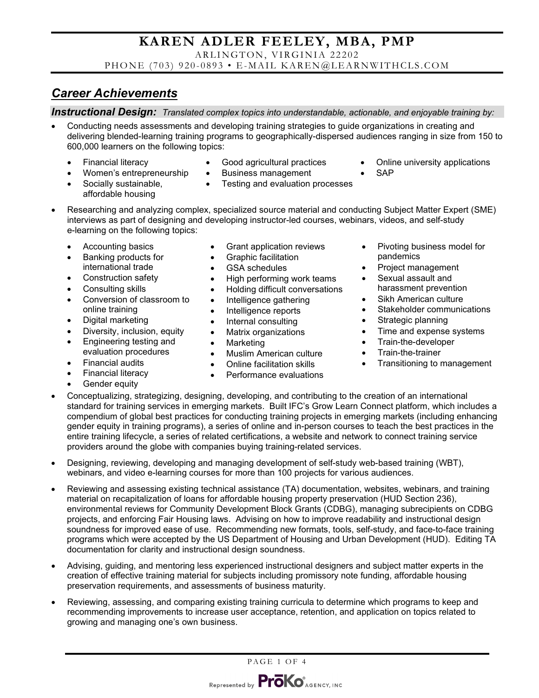ARLINGTON, VIRGINIA 22202

PHONE (703) 920-0893 • E-MAIL KAREN@LEARNWITHCLS.COM

### *Career Achievements*

*Instructional Design: Translated complex topics into understandable, actionable, and enjoyable training by:*

• Conducting needs assessments and developing training strategies to guide organizations in creating and delivering blended-learning training programs to geographically-dispersed audiences ranging in size from 150 to 600,000 learners on the following topics:

• Testing and evaluation processes

• Financial literacy

• Women's entrepreneurship • Socially sustainable, affordable housing

- Good agricultural practices • Business management
- Online university applications
- SAP
- Researching and analyzing complex, specialized source material and conducting Subject Matter Expert (SME) interviews as part of designing and developing instructor-led courses, webinars, videos, and self-study e-learning on the following topics:
	- Accounting basics
	- Banking products for international trade
	- Construction safety
	- Consulting skills
	- Conversion of classroom to online training
	- Digital marketing
	- Diversity, inclusion, equity
	- Engineering testing and evaluation procedures
	- Financial audits
	- Financial literacy
	- Gender equity
- Grant application reviews
- Graphic facilitation
- GSA schedules
- High performing work teams
- Holding difficult conversations
- Intelligence gathering
- Intelligence reports
- Internal consulting
- Matrix organizations
- Marketing
- Muslim American culture
- Online facilitation skills
- Performance evaluations
- Pivoting business model for pandemics
- Project management
- Sexual assault and harassment prevention
- Sikh American culture
- Stakeholder communications
- Strategic planning
- Time and expense systems
- Train-the-developer
- Train-the-trainer
- Transitioning to management
- Conceptualizing, strategizing, designing, developing, and contributing to the creation of an international standard for training services in emerging markets. Built IFC's Grow Learn Connect platform, which includes a compendium of global best practices for conducting training projects in emerging markets (including enhancing gender equity in training programs), a series of online and in-person courses to teach the best practices in the entire training lifecycle, a series of related certifications, a website and network to connect training service providers around the globe with companies buying training-related services.
- Designing, reviewing, developing and managing development of self-study web-based training (WBT), webinars, and video e-learning courses for more than 100 projects for various audiences.
- Reviewing and assessing existing technical assistance (TA) documentation, websites, webinars, and training material on recapitalization of loans for affordable housing property preservation (HUD Section 236), environmental reviews for Community Development Block Grants (CDBG), managing subrecipients on CDBG projects, and enforcing Fair Housing laws. Advising on how to improve readability and instructional design soundness for improved ease of use. Recommending new formats, tools, self-study, and face-to-face training programs which were accepted by the US Department of Housing and Urban Development (HUD). Editing TA documentation for clarity and instructional design soundness.
- Advising, guiding, and mentoring less experienced instructional designers and subject matter experts in the creation of effective training material for subjects including promissory note funding, affordable housing preservation requirements, and assessments of business maturity.
- Reviewing, assessing, and comparing existing training curricula to determine which programs to keep and recommending improvements to increase user acceptance, retention, and application on topics related to growing and managing one's own business.

PAGE 1 OF 4

Represented by **ProKo** AGENCY, INC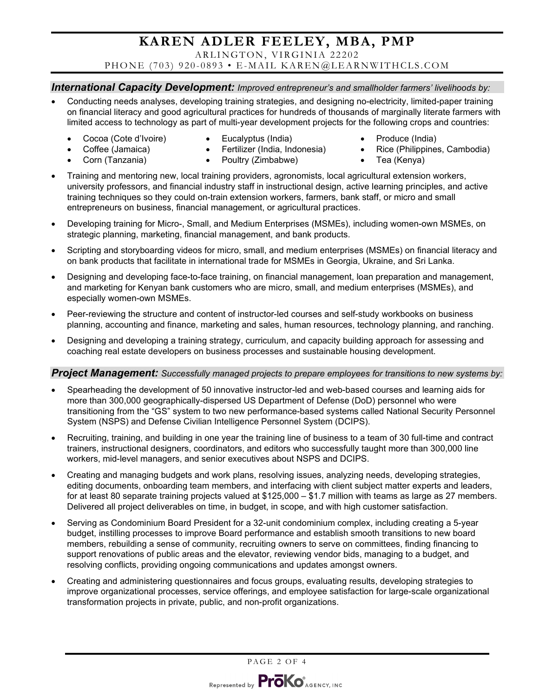ARLINGTON, VIRGINIA 22202

PHONE (703) 920-0893 • E-MAIL KAREN@LEARNWITHCLS.COM

### *International Capacity Development: Improved entrepreneur's and smallholder farmers' livelihoods by:*

- Conducting needs analyses, developing training strategies, and designing no-electricity, limited-paper training on financial literacy and good agricultural practices for hundreds of thousands of marginally literate farmers with limited access to technology as part of multi-year development projects for the following crops and countries:
	- Cocoa (Cote d'Ivoire)
- Eucalyptus (India)
- Produce (India)

- Coffee (Jamaica) • Corn (Tanzania)
- Fertilizer (India, Indonesia) • Poultry (Zimbabwe)
- Rice (Philippines, Cambodia) • Tea (Kenya)
- Training and mentoring new, local training providers, agronomists, local agricultural extension workers, university professors, and financial industry staff in instructional design, active learning principles, and active training techniques so they could on-train extension workers, farmers, bank staff, or micro and small entrepreneurs on business, financial management, or agricultural practices.
- Developing training for Micro-, Small, and Medium Enterprises (MSMEs), including women-own MSMEs, on strategic planning, marketing, financial management, and bank products.
- Scripting and storyboarding videos for micro, small, and medium enterprises (MSMEs) on financial literacy and on bank products that facilitate in international trade for MSMEs in Georgia, Ukraine, and Sri Lanka.
- Designing and developing face-to-face training, on financial management, loan preparation and management, and marketing for Kenyan bank customers who are micro, small, and medium enterprises (MSMEs), and especially women-own MSMEs.
- Peer-reviewing the structure and content of instructor-led courses and self-study workbooks on business planning, accounting and finance, marketing and sales, human resources, technology planning, and ranching.
- Designing and developing a training strategy, curriculum, and capacity building approach for assessing and coaching real estate developers on business processes and sustainable housing development.

#### *Project Management: Successfully managed projects to prepare employees for transitions to new systems by:*

- Spearheading the development of 50 innovative instructor-led and web-based courses and learning aids for more than 300,000 geographically-dispersed US Department of Defense (DoD) personnel who were transitioning from the "GS" system to two new performance-based systems called National Security Personnel System (NSPS) and Defense Civilian Intelligence Personnel System (DCIPS).
- Recruiting, training, and building in one year the training line of business to a team of 30 full-time and contract trainers, instructional designers, coordinators, and editors who successfully taught more than 300,000 line workers, mid-level managers, and senior executives about NSPS and DCIPS.
- Creating and managing budgets and work plans, resolving issues, analyzing needs, developing strategies, editing documents, onboarding team members, and interfacing with client subject matter experts and leaders, for at least 80 separate training projects valued at \$125,000 – \$1.7 million with teams as large as 27 members. Delivered all project deliverables on time, in budget, in scope, and with high customer satisfaction.
- Serving as Condominium Board President for a 32-unit condominium complex, including creating a 5-year budget, instilling processes to improve Board performance and establish smooth transitions to new board members, rebuilding a sense of community, recruiting owners to serve on committees, finding financing to support renovations of public areas and the elevator, reviewing vendor bids, managing to a budget, and resolving conflicts, providing ongoing communications and updates amongst owners.
- Creating and administering questionnaires and focus groups, evaluating results, developing strategies to improve organizational processes, service offerings, and employee satisfaction for large-scale organizational transformation projects in private, public, and non-profit organizations.

PAGE 2 OF 4

Represented by **ProKo** AGENCY, INC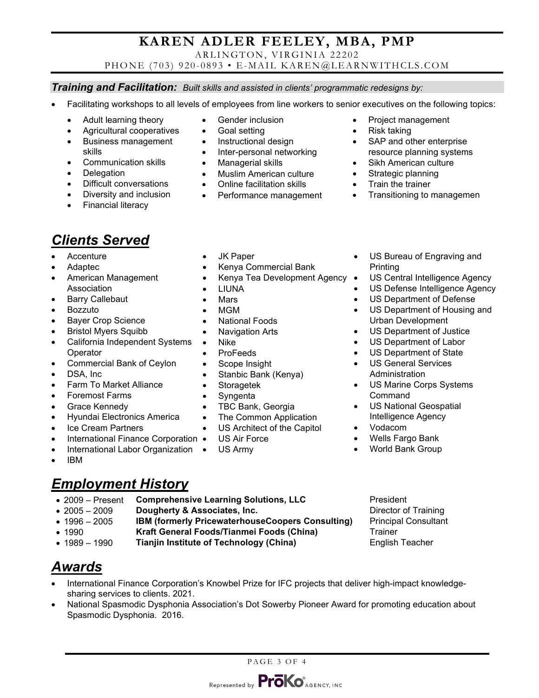ARLINGTON, VIRGINIA 22202

PHONE (703) 920-0893 • E-MAIL KAREN@LEARNWITHCLS.COM

#### *Training and Facilitation: Built skills and assisted in clients' programmatic redesigns by:*

- Facilitating workshops to all levels of employees from line workers to senior executives on the following topics:
	- Adult learning theory
	- Agricultural cooperatives
	- Business management skills
	- Communication skills
	- Delegation
	- Difficult conversations
	- Diversity and inclusion
	- Financial literacy
- Gender inclusion
- Goal setting
- Instructional design
- Inter-personal networking
- Managerial skills
- Muslim American culture
- Online facilitation skills
- Performance management
- Project management
- Risk taking
- SAP and other enterprise resource planning systems
- Sikh American culture
- Strategic planning
- Train the trainer

Printing

• Transitioning to managemen

• US Bureau of Engraving and

US Central Intelligence Agency US Defense Intelligence Agency US Department of Defense • US Department of Housing and

# *Clients Served*

- Accenture
- Adaptec
- American Management Association
- Barry Callebaut
- Bozzuto
- Bayer Crop Science
- Bristol Myers Squibb
- California Independent Systems **Operator**
- Commercial Bank of Ceylon
- DSA, Inc.
- Farm To Market Alliance
- Foremost Farms
- Grace Kennedy
- Hyundai Electronics America
- Ice Cream Partners
- International Finance Corporation •
- International Labor Organization
- IBM

## *Employment History*

- 2009 Present **Comprehensive Learning Solutions, LLC** President
- 2005 2009 **Dougherty & Associates, Inc. Director of Training**
- 1996 2005 **IBM (formerly PricewaterhouseCoopers Consulting)** Principal Consultant
	-
- 1990 **Kraft General Foods/Tianmei Foods (China)** Trainer • 1989 – 1990 **Tianjin Institute of Technology (China)**
- 

- *Awards*
- International Finance Corporation's Knowbel Prize for IFC projects that deliver high-impact knowledgesharing services to clients. 2021.
- National Spasmodic Dysphonia Association's Dot Sowerby Pioneer Award for promoting education about Spasmodic Dysphonia. 2016.

- JK Paper • Kenya Commercial Bank
- Kenya Tea Development Agency
- 
- 
- 
- National Foods
- **Navigation Arts**
- Nike
- ProFeeds
- Scope Insight
- Stanbic Bank (Kenya)
- **Storagetek**
- **Syngenta**
- 
- TBC Bank, Georgia
- The Common Application
- US Architect of the Capitol
- US Air Force
- US Army

PAGE 3 OF 4

- US Department of Justice • US Department of Labor
	- US Department of State

Urban Development

- US General Services Administration
- US Marine Corps Systems Command
- US National Geospatial Intelligence Agency
- Vodacom
- Wells Fargo Bank
- World Bank Group

• LIUNA

### • Mars

• MGM